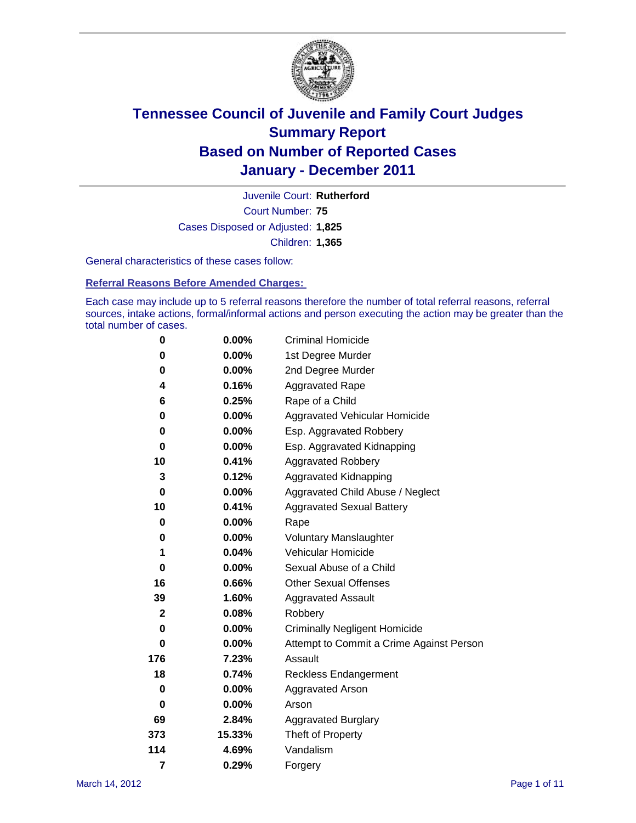

Court Number: **75** Juvenile Court: **Rutherford** Cases Disposed or Adjusted: **1,825** Children: **1,365**

General characteristics of these cases follow:

**Referral Reasons Before Amended Charges:** 

Each case may include up to 5 referral reasons therefore the number of total referral reasons, referral sources, intake actions, formal/informal actions and person executing the action may be greater than the total number of cases.

| 0            | $0.00\%$ | <b>Criminal Homicide</b>                 |  |  |  |
|--------------|----------|------------------------------------------|--|--|--|
| 0            | 0.00%    | 1st Degree Murder                        |  |  |  |
| 0            | $0.00\%$ | 2nd Degree Murder                        |  |  |  |
| 4            | 0.16%    | <b>Aggravated Rape</b>                   |  |  |  |
| 6            | 0.25%    | Rape of a Child                          |  |  |  |
| 0            | 0.00%    | Aggravated Vehicular Homicide            |  |  |  |
| 0            | 0.00%    | Esp. Aggravated Robbery                  |  |  |  |
| 0            | $0.00\%$ | Esp. Aggravated Kidnapping               |  |  |  |
| 10           | 0.41%    | <b>Aggravated Robbery</b>                |  |  |  |
| 3            | 0.12%    | Aggravated Kidnapping                    |  |  |  |
| 0            | 0.00%    | Aggravated Child Abuse / Neglect         |  |  |  |
| 10           | 0.41%    | <b>Aggravated Sexual Battery</b>         |  |  |  |
| 0            | 0.00%    | Rape                                     |  |  |  |
| 0            | $0.00\%$ | <b>Voluntary Manslaughter</b>            |  |  |  |
| 1            | 0.04%    | Vehicular Homicide                       |  |  |  |
| 0            | 0.00%    | Sexual Abuse of a Child                  |  |  |  |
| 16           | 0.66%    | <b>Other Sexual Offenses</b>             |  |  |  |
| 39           | 1.60%    | <b>Aggravated Assault</b>                |  |  |  |
| $\mathbf{2}$ | 0.08%    | Robbery                                  |  |  |  |
| 0            | 0.00%    | <b>Criminally Negligent Homicide</b>     |  |  |  |
| 0            | $0.00\%$ | Attempt to Commit a Crime Against Person |  |  |  |
| 176          | 7.23%    | Assault                                  |  |  |  |
| 18           | 0.74%    | <b>Reckless Endangerment</b>             |  |  |  |
| 0            | 0.00%    | <b>Aggravated Arson</b>                  |  |  |  |
| 0            | 0.00%    | Arson                                    |  |  |  |
| 69           | 2.84%    | <b>Aggravated Burglary</b>               |  |  |  |
| 373          | 15.33%   | Theft of Property                        |  |  |  |
| 114          | 4.69%    | Vandalism                                |  |  |  |
| 7            | 0.29%    | Forgery                                  |  |  |  |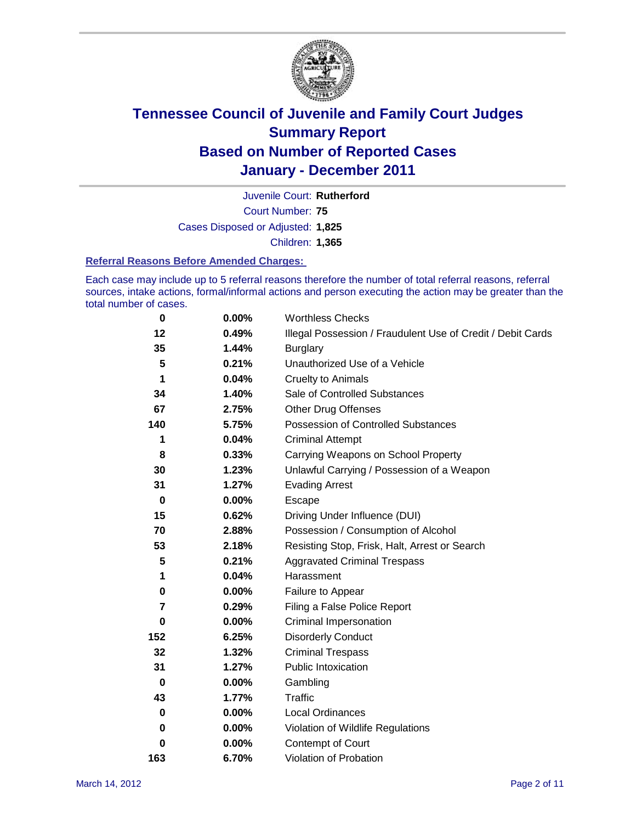

Court Number: **75** Juvenile Court: **Rutherford** Cases Disposed or Adjusted: **1,825** Children: **1,365**

#### **Referral Reasons Before Amended Charges:**

Each case may include up to 5 referral reasons therefore the number of total referral reasons, referral sources, intake actions, formal/informal actions and person executing the action may be greater than the total number of cases.

| $\pmb{0}$   | 0.00% | <b>Worthless Checks</b>                                     |
|-------------|-------|-------------------------------------------------------------|
| 12          | 0.49% | Illegal Possession / Fraudulent Use of Credit / Debit Cards |
| 35          | 1.44% | <b>Burglary</b>                                             |
| 5           | 0.21% | Unauthorized Use of a Vehicle                               |
| 1           | 0.04% | <b>Cruelty to Animals</b>                                   |
| 34          | 1.40% | Sale of Controlled Substances                               |
| 67          | 2.75% | <b>Other Drug Offenses</b>                                  |
| 140         | 5.75% | Possession of Controlled Substances                         |
| 1           | 0.04% | <b>Criminal Attempt</b>                                     |
| 8           | 0.33% | Carrying Weapons on School Property                         |
| 30          | 1.23% | Unlawful Carrying / Possession of a Weapon                  |
| 31          | 1.27% | <b>Evading Arrest</b>                                       |
| $\mathbf 0$ | 0.00% | Escape                                                      |
| 15          | 0.62% | Driving Under Influence (DUI)                               |
| 70          | 2.88% | Possession / Consumption of Alcohol                         |
| 53          | 2.18% | Resisting Stop, Frisk, Halt, Arrest or Search               |
| 5           | 0.21% | <b>Aggravated Criminal Trespass</b>                         |
| 1           | 0.04% | Harassment                                                  |
| 0           | 0.00% | Failure to Appear                                           |
| 7           | 0.29% | Filing a False Police Report                                |
| 0           | 0.00% | Criminal Impersonation                                      |
| 152         | 6.25% | <b>Disorderly Conduct</b>                                   |
| 32          | 1.32% | <b>Criminal Trespass</b>                                    |
| 31          | 1.27% | <b>Public Intoxication</b>                                  |
| 0           | 0.00% | Gambling                                                    |
| 43          | 1.77% | <b>Traffic</b>                                              |
| 0           | 0.00% | Local Ordinances                                            |
| 0           | 0.00% | Violation of Wildlife Regulations                           |
| 0           | 0.00% | Contempt of Court                                           |
| 163         | 6.70% | Violation of Probation                                      |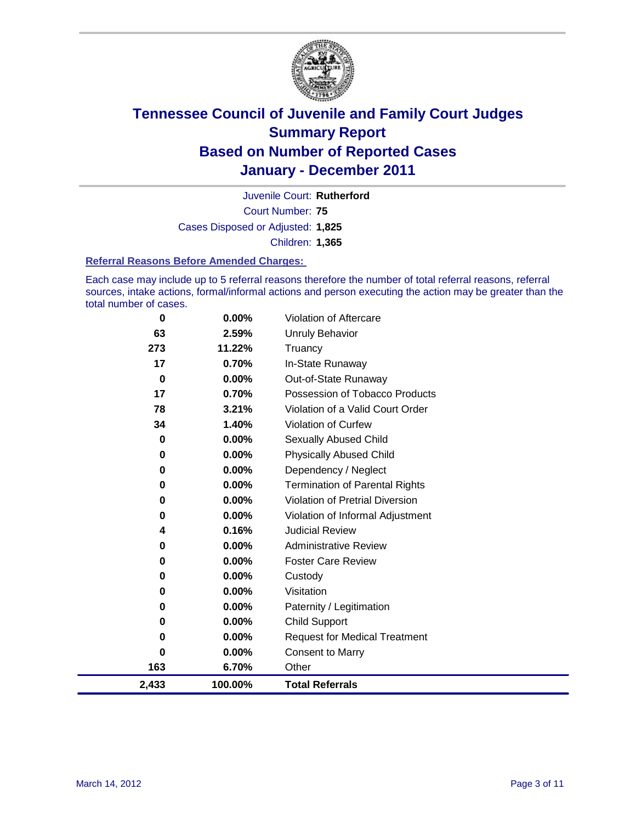

Court Number: **75** Juvenile Court: **Rutherford** Cases Disposed or Adjusted: **1,825** Children: **1,365**

#### **Referral Reasons Before Amended Charges:**

Each case may include up to 5 referral reasons therefore the number of total referral reasons, referral sources, intake actions, formal/informal actions and person executing the action may be greater than the total number of cases.

| 0           | 0.00%    | Violation of Aftercare                 |
|-------------|----------|----------------------------------------|
| 63          | 2.59%    | <b>Unruly Behavior</b>                 |
| 273         | 11.22%   | Truancy                                |
| 17          | 0.70%    | In-State Runaway                       |
| $\bf{0}$    | 0.00%    | Out-of-State Runaway                   |
| 17          | 0.70%    | Possession of Tobacco Products         |
| 78          | 3.21%    | Violation of a Valid Court Order       |
| 34          | 1.40%    | Violation of Curfew                    |
| $\mathbf 0$ | 0.00%    | Sexually Abused Child                  |
| 0           | 0.00%    | <b>Physically Abused Child</b>         |
| 0           | 0.00%    | Dependency / Neglect                   |
| 0           | 0.00%    | <b>Termination of Parental Rights</b>  |
| 0           | 0.00%    | <b>Violation of Pretrial Diversion</b> |
| 0           | 0.00%    | Violation of Informal Adjustment       |
| 4           | 0.16%    | <b>Judicial Review</b>                 |
| 0           | 0.00%    | <b>Administrative Review</b>           |
| 0           | $0.00\%$ | <b>Foster Care Review</b>              |
| 0           | 0.00%    | Custody                                |
| 0           | 0.00%    | Visitation                             |
| 0           | 0.00%    | Paternity / Legitimation               |
| 0           | $0.00\%$ | <b>Child Support</b>                   |
| 0           | 0.00%    | <b>Request for Medical Treatment</b>   |
| 0           | 0.00%    | <b>Consent to Marry</b>                |
| 163         | 6.70%    | Other                                  |
| 2,433       | 100.00%  | <b>Total Referrals</b>                 |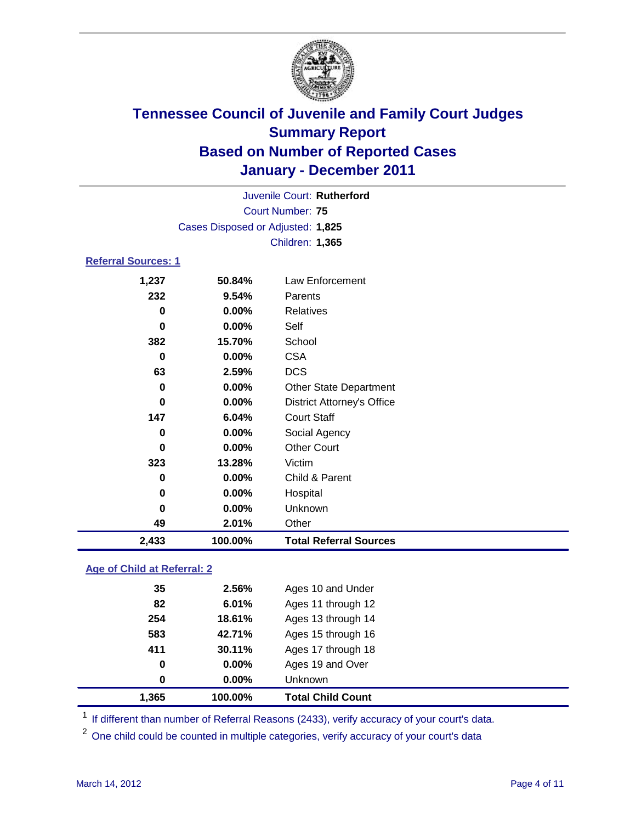

|       | Juvenile Court: Rutherford        |                                   |  |  |
|-------|-----------------------------------|-----------------------------------|--|--|
|       | <b>Court Number: 75</b>           |                                   |  |  |
|       | Cases Disposed or Adjusted: 1,825 |                                   |  |  |
|       | Children: 1,365                   |                                   |  |  |
|       | <b>Referral Sources: 1</b>        |                                   |  |  |
| 1,237 | 50.84%                            | Law Enforcement                   |  |  |
| 232   | 9.54%                             | Parents                           |  |  |
| 0     | 0.00%                             | <b>Relatives</b>                  |  |  |
| 0     | 0.00%                             | Self                              |  |  |
| 382   | 15.70%                            | School                            |  |  |
| 0     | 0.00%                             | <b>CSA</b>                        |  |  |
| 63    | 2.59%                             | <b>DCS</b>                        |  |  |
| 0     | 0.00%                             | <b>Other State Department</b>     |  |  |
| 0     | 0.00%                             | <b>District Attorney's Office</b> |  |  |
| 147   | 6.04%                             | <b>Court Staff</b>                |  |  |
| 0     | 0.00%                             | Social Agency                     |  |  |
| 0     | 0.00%                             | <b>Other Court</b>                |  |  |
| 323   | 13.28%                            | Victim                            |  |  |
| 0     | 0.00%                             | Child & Parent                    |  |  |
| 0     | 0.00%                             | Hospital                          |  |  |
| 0     | 0.00%                             | Unknown                           |  |  |
| 49    | 2.01%                             | Other                             |  |  |
| 2,433 | 100.00%                           | <b>Total Referral Sources</b>     |  |  |

### **Age of Child at Referral: 2**

| 0<br>0 | 0.00%<br>0.00% | Ages 19 and Over<br><b>Unknown</b> |  |
|--------|----------------|------------------------------------|--|
|        |                |                                    |  |
|        |                |                                    |  |
| 411    | 30.11%         | Ages 17 through 18                 |  |
| 583    | 42.71%         | Ages 15 through 16                 |  |
| 254    | 18.61%         | Ages 13 through 14                 |  |
| 82     | 6.01%          | Ages 11 through 12                 |  |
| 35     | 2.56%          | Ages 10 and Under                  |  |
|        |                |                                    |  |

<sup>1</sup> If different than number of Referral Reasons (2433), verify accuracy of your court's data.

<sup>2</sup> One child could be counted in multiple categories, verify accuracy of your court's data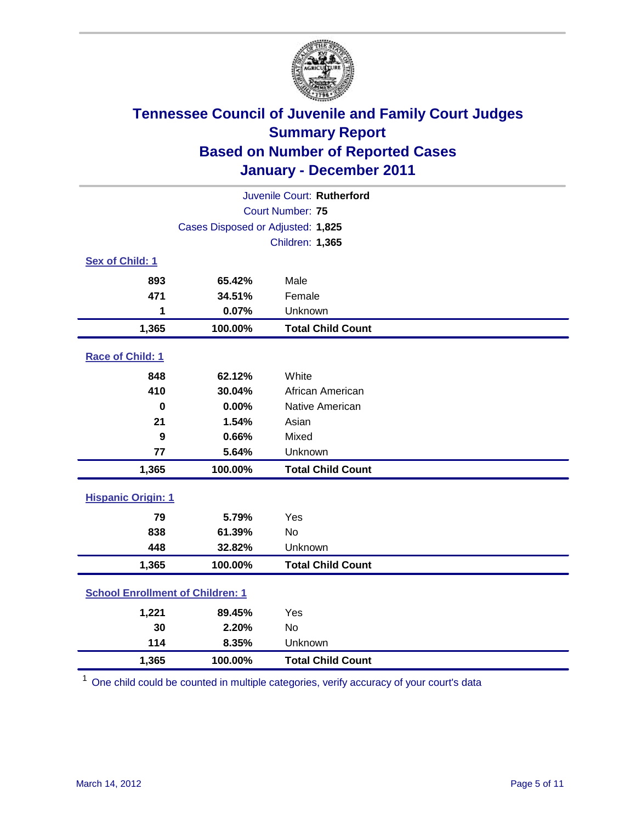

| Juvenile Court: Rutherford              |                                   |                          |  |  |  |
|-----------------------------------------|-----------------------------------|--------------------------|--|--|--|
|                                         | Court Number: 75                  |                          |  |  |  |
|                                         | Cases Disposed or Adjusted: 1,825 |                          |  |  |  |
|                                         |                                   | Children: 1,365          |  |  |  |
| Sex of Child: 1                         |                                   |                          |  |  |  |
| 893                                     | 65.42%                            | Male                     |  |  |  |
| 471                                     | 34.51%                            | Female                   |  |  |  |
| 1                                       | 0.07%                             | Unknown                  |  |  |  |
| 1,365                                   | 100.00%                           | <b>Total Child Count</b> |  |  |  |
| Race of Child: 1                        |                                   |                          |  |  |  |
| 848                                     | 62.12%                            | White                    |  |  |  |
| 410                                     | 30.04%                            | African American         |  |  |  |
| $\mathbf 0$                             | 0.00%                             | Native American          |  |  |  |
| 21                                      | 1.54%                             | Asian                    |  |  |  |
| 9                                       | 0.66%                             | Mixed                    |  |  |  |
| 77                                      | 5.64%                             | Unknown                  |  |  |  |
| 1,365                                   | 100.00%                           | <b>Total Child Count</b> |  |  |  |
| <b>Hispanic Origin: 1</b>               |                                   |                          |  |  |  |
| 79                                      | 5.79%                             | Yes                      |  |  |  |
| 838                                     | 61.39%                            | No                       |  |  |  |
| 448                                     | 32.82%                            | Unknown                  |  |  |  |
| 1,365                                   | 100.00%                           | <b>Total Child Count</b> |  |  |  |
| <b>School Enrollment of Children: 1</b> |                                   |                          |  |  |  |
| 1,221                                   | 89.45%                            | Yes                      |  |  |  |
| 30                                      | 2.20%                             | <b>No</b>                |  |  |  |
| 114                                     | 8.35%                             | Unknown                  |  |  |  |
| 1,365                                   | 100.00%                           | <b>Total Child Count</b> |  |  |  |

<sup>1</sup> One child could be counted in multiple categories, verify accuracy of your court's data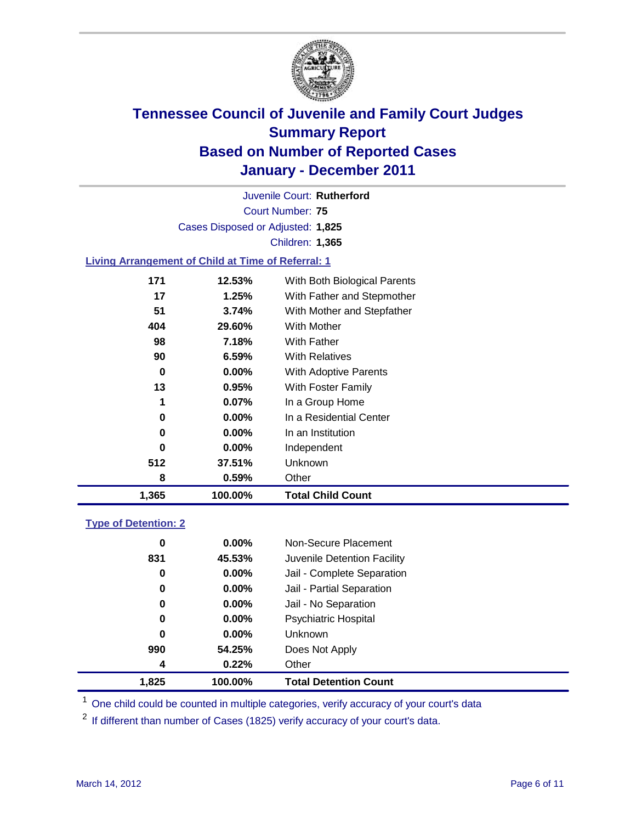

Court Number: **75** Juvenile Court: **Rutherford** Cases Disposed or Adjusted: **1,825** Children: **1,365**

### **Living Arrangement of Child at Time of Referral: 1**

| 1,365 | 100.00%  | <b>Total Child Count</b>     |
|-------|----------|------------------------------|
| 8     | 0.59%    | Other                        |
| 512   | 37.51%   | <b>Unknown</b>               |
| 0     | $0.00\%$ | Independent                  |
| 0     | $0.00\%$ | In an Institution            |
| 0     | $0.00\%$ | In a Residential Center      |
| 1     | $0.07\%$ | In a Group Home              |
| 13    | 0.95%    | With Foster Family           |
| 0     | $0.00\%$ | With Adoptive Parents        |
| 90    | $6.59\%$ | <b>With Relatives</b>        |
| 98    | 7.18%    | With Father                  |
| 404   | 29.60%   | <b>With Mother</b>           |
| 51    | 3.74%    | With Mother and Stepfather   |
| 17    | 1.25%    | With Father and Stepmother   |
| 171   | 12.53%   | With Both Biological Parents |
|       |          |                              |

### **Type of Detention: 2**

| 1,825 | 100.00%  | <b>Total Detention Count</b> |  |
|-------|----------|------------------------------|--|
| 4     | 0.22%    | Other                        |  |
| 990   | 54.25%   | Does Not Apply               |  |
| 0     | 0.00%    | Unknown                      |  |
| 0     | 0.00%    | <b>Psychiatric Hospital</b>  |  |
| 0     | 0.00%    | Jail - No Separation         |  |
| 0     | $0.00\%$ | Jail - Partial Separation    |  |
| 0     | 0.00%    | Jail - Complete Separation   |  |
| 831   | 45.53%   | Juvenile Detention Facility  |  |
| 0     | $0.00\%$ | Non-Secure Placement         |  |
|       |          |                              |  |

<sup>1</sup> One child could be counted in multiple categories, verify accuracy of your court's data

<sup>2</sup> If different than number of Cases (1825) verify accuracy of your court's data.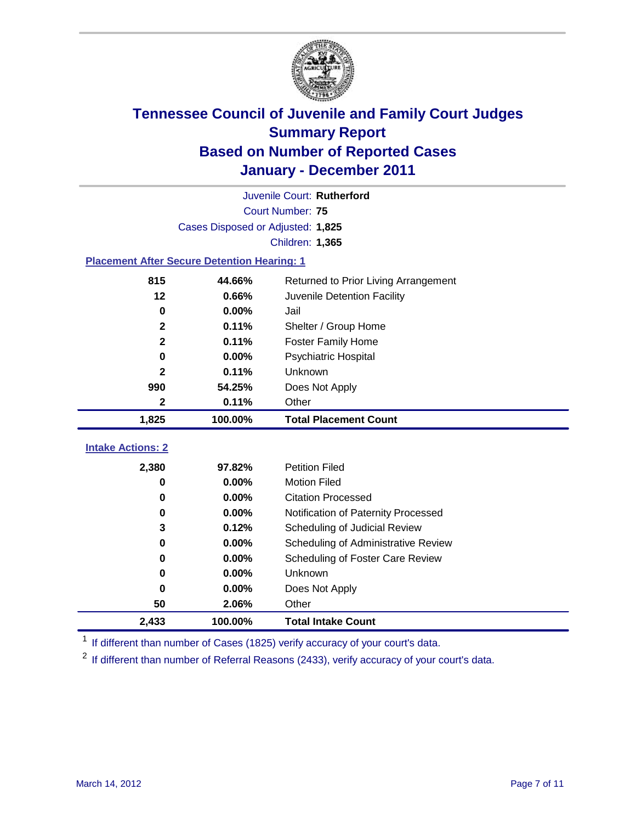

|                                                    | Juvenile Court: Rutherford        |                                      |  |  |
|----------------------------------------------------|-----------------------------------|--------------------------------------|--|--|
|                                                    | Court Number: 75                  |                                      |  |  |
|                                                    | Cases Disposed or Adjusted: 1,825 |                                      |  |  |
|                                                    |                                   | Children: 1,365                      |  |  |
| <b>Placement After Secure Detention Hearing: 1</b> |                                   |                                      |  |  |
| 815                                                | 44.66%                            | Returned to Prior Living Arrangement |  |  |
| 12                                                 | 0.66%                             | Juvenile Detention Facility          |  |  |
| $\mathbf 0$                                        | 0.00%                             | Jail                                 |  |  |
| $\mathbf{2}$                                       | 0.11%                             | Shelter / Group Home                 |  |  |
| $\mathbf{2}$                                       | 0.11%                             | <b>Foster Family Home</b>            |  |  |
| $\bf{0}$                                           | 0.00%                             | Psychiatric Hospital                 |  |  |
| 2                                                  | 0.11%                             | Unknown                              |  |  |
| 990                                                | 54.25%                            | Does Not Apply                       |  |  |
| $\mathbf{2}$                                       | 0.11%                             | Other                                |  |  |
| 1,825                                              | 100.00%                           | <b>Total Placement Count</b>         |  |  |
| <b>Intake Actions: 2</b>                           |                                   |                                      |  |  |
|                                                    |                                   |                                      |  |  |
| 2,380                                              | 97.82%                            | <b>Petition Filed</b>                |  |  |
| 0                                                  | 0.00%                             | <b>Motion Filed</b>                  |  |  |
| 0                                                  | 0.00%                             | <b>Citation Processed</b>            |  |  |
| 0                                                  | 0.00%                             | Notification of Paternity Processed  |  |  |
| 3                                                  | 0.12%                             | Scheduling of Judicial Review        |  |  |
| 0                                                  | 0.00%                             | Scheduling of Administrative Review  |  |  |
| 0                                                  | 0.00%                             | Scheduling of Foster Care Review     |  |  |
| $\bf{0}$                                           | 0.00%                             | Unknown                              |  |  |
| 0                                                  | 0.00%                             | Does Not Apply                       |  |  |
| 50                                                 | 2.06%                             | Other                                |  |  |
| 2,433                                              | 100.00%                           | <b>Total Intake Count</b>            |  |  |

<sup>1</sup> If different than number of Cases (1825) verify accuracy of your court's data.

<sup>2</sup> If different than number of Referral Reasons (2433), verify accuracy of your court's data.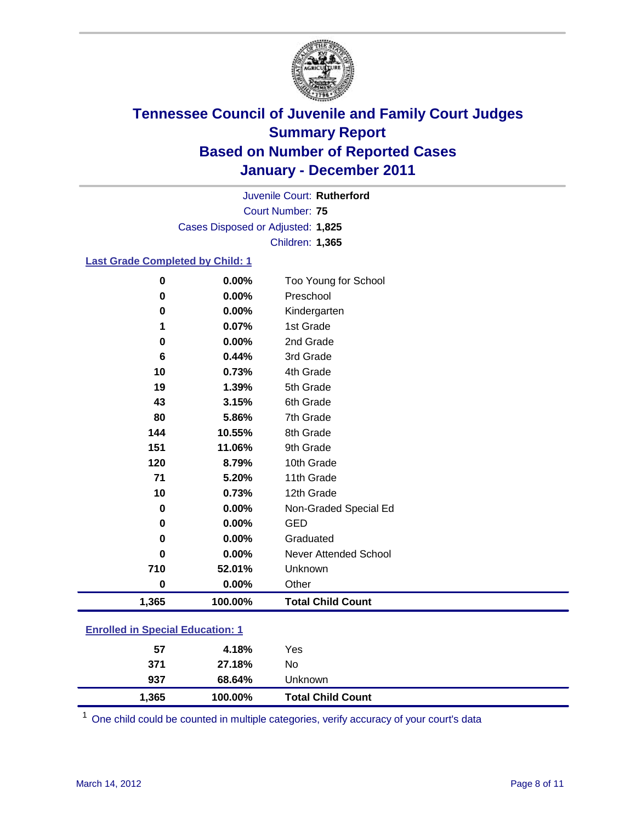

Court Number: **75** Juvenile Court: **Rutherford** Cases Disposed or Adjusted: **1,825** Children: **1,365**

### **Last Grade Completed by Child: 1**

| $\bf{0}$                                | 0.00%    | Too Young for School         |  |
|-----------------------------------------|----------|------------------------------|--|
| $\bf{0}$                                | 0.00%    | Preschool                    |  |
| $\bf{0}$                                | 0.00%    | Kindergarten                 |  |
| 1                                       | 0.07%    | 1st Grade                    |  |
| 0                                       | 0.00%    | 2nd Grade                    |  |
| 6                                       | 0.44%    | 3rd Grade                    |  |
| 10                                      | 0.73%    | 4th Grade                    |  |
| 19                                      | 1.39%    | 5th Grade                    |  |
| 43                                      | 3.15%    | 6th Grade                    |  |
| 80                                      | 5.86%    | 7th Grade                    |  |
| 144                                     | 10.55%   | 8th Grade                    |  |
| 151                                     | 11.06%   | 9th Grade                    |  |
| 120                                     | 8.79%    | 10th Grade                   |  |
| 71                                      | 5.20%    | 11th Grade                   |  |
| 10                                      | 0.73%    | 12th Grade                   |  |
| 0                                       | 0.00%    | Non-Graded Special Ed        |  |
| 0                                       | 0.00%    | <b>GED</b>                   |  |
| 0                                       | $0.00\%$ | Graduated                    |  |
| 0                                       | 0.00%    | <b>Never Attended School</b> |  |
| 710                                     | 52.01%   | Unknown                      |  |
| $\bf{0}$                                | 0.00%    | Other                        |  |
| 1,365                                   | 100.00%  | <b>Total Child Count</b>     |  |
| <b>Enrolled in Special Education: 1</b> |          |                              |  |

| 1,365 | 100.00% | <b>Total Child Count</b> |  |
|-------|---------|--------------------------|--|
| 937   | 68.64%  | Unknown                  |  |
| 371   | 27.18%  | No                       |  |
| 57    | 4.18%   | Yes                      |  |
|       |         |                          |  |

One child could be counted in multiple categories, verify accuracy of your court's data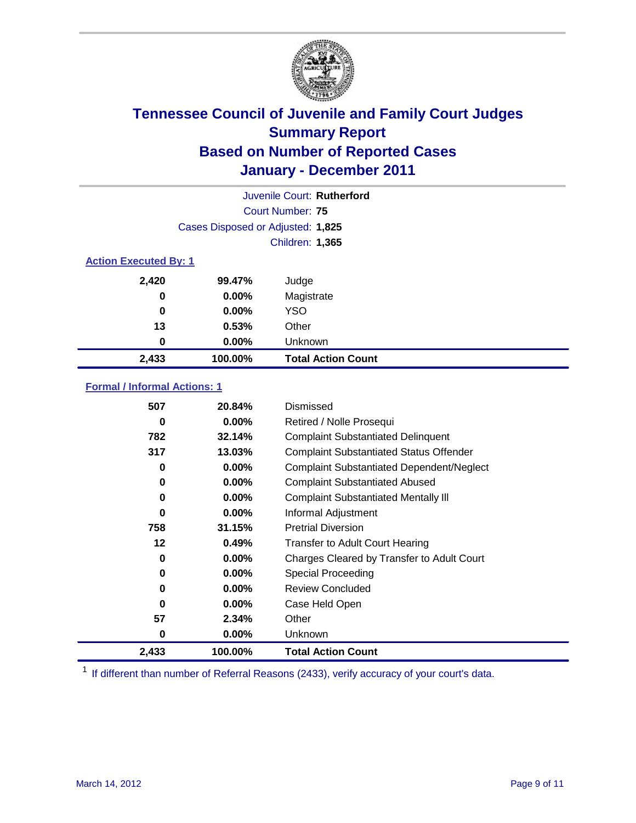

|                              |                                   | Juvenile Court: Rutherford |
|------------------------------|-----------------------------------|----------------------------|
|                              |                                   | Court Number: 75           |
|                              | Cases Disposed or Adjusted: 1,825 |                            |
|                              |                                   | Children: 1,365            |
| <b>Action Executed By: 1</b> |                                   |                            |
| 2,420                        | 99.47%                            | Judge                      |
| $\bf{0}$                     | $0.00\%$                          | Magistrate                 |
| $\bf{0}$                     | $0.00\%$                          | <b>YSO</b>                 |
| 13                           | 0.53%                             | Other                      |
| 0                            | 0.00%                             | Unknown                    |
| 2,433                        | 100.00%                           | <b>Total Action Count</b>  |

### **Formal / Informal Actions: 1**

| 507   | 20.84%   | Dismissed                                        |
|-------|----------|--------------------------------------------------|
| 0     | $0.00\%$ | Retired / Nolle Prosequi                         |
| 782   | 32.14%   | <b>Complaint Substantiated Delinquent</b>        |
| 317   | 13.03%   | <b>Complaint Substantiated Status Offender</b>   |
| 0     | $0.00\%$ | <b>Complaint Substantiated Dependent/Neglect</b> |
| 0     | $0.00\%$ | <b>Complaint Substantiated Abused</b>            |
| 0     | $0.00\%$ | <b>Complaint Substantiated Mentally III</b>      |
| 0     | $0.00\%$ | Informal Adjustment                              |
| 758   | 31.15%   | <b>Pretrial Diversion</b>                        |
| 12    | 0.49%    | <b>Transfer to Adult Court Hearing</b>           |
| 0     | $0.00\%$ | Charges Cleared by Transfer to Adult Court       |
| 0     | $0.00\%$ | <b>Special Proceeding</b>                        |
| 0     | $0.00\%$ | <b>Review Concluded</b>                          |
| 0     | $0.00\%$ | Case Held Open                                   |
| 57    | 2.34%    | Other                                            |
| 0     | $0.00\%$ | <b>Unknown</b>                                   |
| 2,433 | 100.00%  | <b>Total Action Count</b>                        |

<sup>1</sup> If different than number of Referral Reasons (2433), verify accuracy of your court's data.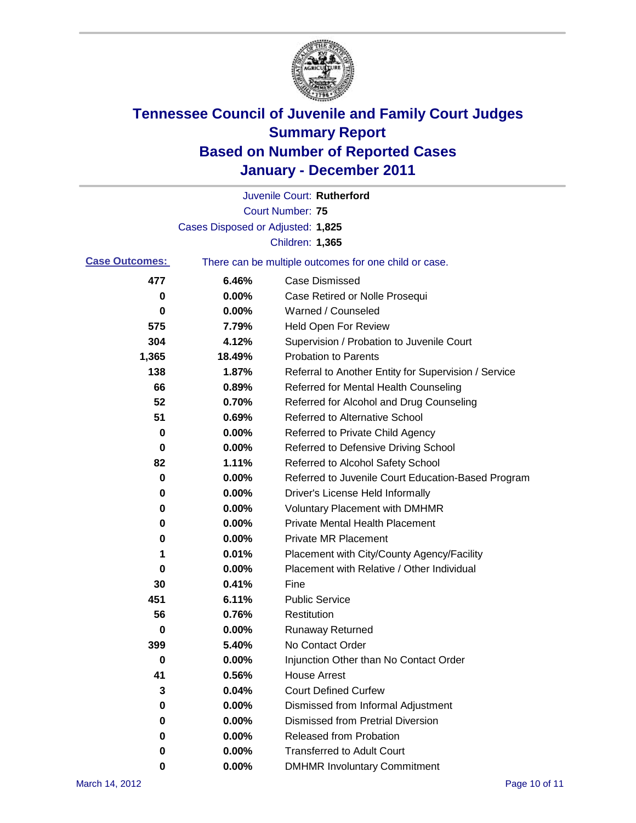

|                       |                                   | Juvenile Court: Rutherford                            |
|-----------------------|-----------------------------------|-------------------------------------------------------|
|                       |                                   | <b>Court Number: 75</b>                               |
|                       | Cases Disposed or Adjusted: 1,825 |                                                       |
|                       |                                   | Children: 1,365                                       |
| <b>Case Outcomes:</b> |                                   | There can be multiple outcomes for one child or case. |
| 477                   | 6.46%                             | <b>Case Dismissed</b>                                 |
| 0                     | 0.00%                             | Case Retired or Nolle Prosequi                        |
| 0                     | 0.00%                             | Warned / Counseled                                    |
| 575                   | 7.79%                             | <b>Held Open For Review</b>                           |
| 304                   | 4.12%                             | Supervision / Probation to Juvenile Court             |
| 1,365                 | 18.49%                            | <b>Probation to Parents</b>                           |
| 138                   | 1.87%                             | Referral to Another Entity for Supervision / Service  |
| 66                    | 0.89%                             | Referred for Mental Health Counseling                 |
| 52                    | 0.70%                             | Referred for Alcohol and Drug Counseling              |
| 51                    | 0.69%                             | <b>Referred to Alternative School</b>                 |
| 0                     | 0.00%                             | Referred to Private Child Agency                      |
| 0                     | 0.00%                             | Referred to Defensive Driving School                  |
| 82                    | 1.11%                             | Referred to Alcohol Safety School                     |
| 0                     | 0.00%                             | Referred to Juvenile Court Education-Based Program    |
| 0                     | 0.00%                             | Driver's License Held Informally                      |
| 0                     | 0.00%                             | <b>Voluntary Placement with DMHMR</b>                 |
| 0                     | 0.00%                             | <b>Private Mental Health Placement</b>                |
| 0                     | 0.00%                             | <b>Private MR Placement</b>                           |
| 1                     | 0.01%                             | Placement with City/County Agency/Facility            |
| 0                     | 0.00%                             | Placement with Relative / Other Individual            |
| 30                    | 0.41%                             | Fine                                                  |
| 451                   | 6.11%                             | <b>Public Service</b>                                 |
| 56                    | 0.76%                             | Restitution                                           |
| 0                     | 0.00%                             | <b>Runaway Returned</b>                               |
| 399                   | 5.40%                             | No Contact Order                                      |
| 0                     | 0.00%                             | Injunction Other than No Contact Order                |
| 41                    | 0.56%                             | <b>House Arrest</b>                                   |
| 3                     | 0.04%                             | <b>Court Defined Curfew</b>                           |
| 0                     | 0.00%                             | Dismissed from Informal Adjustment                    |
| 0                     | 0.00%                             | <b>Dismissed from Pretrial Diversion</b>              |
| 0                     | 0.00%                             | Released from Probation                               |
| 0                     | 0.00%                             | <b>Transferred to Adult Court</b>                     |
| 0                     | $0.00\%$                          | <b>DMHMR Involuntary Commitment</b>                   |